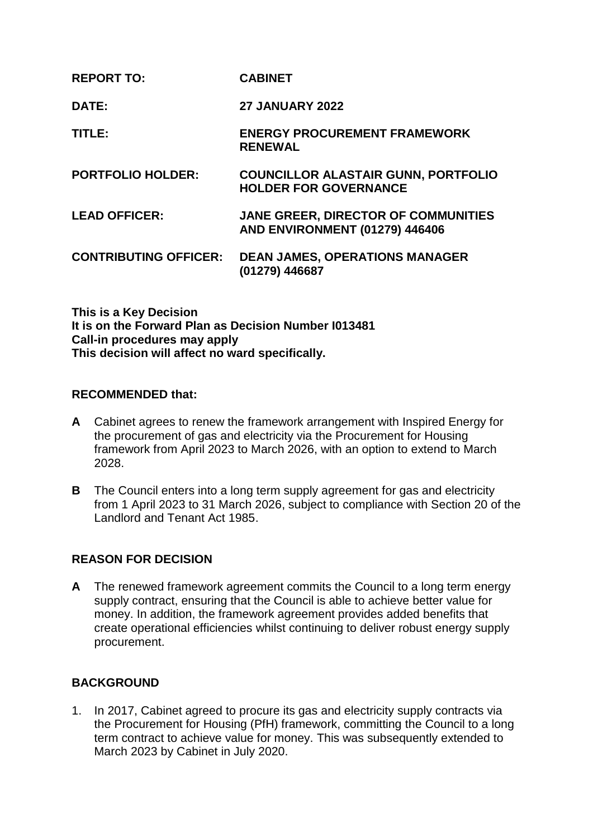| <b>REPORT TO:</b>            | <b>CABINET</b>                                                                      |
|------------------------------|-------------------------------------------------------------------------------------|
| DATE:                        | <b>27 JANUARY 2022</b>                                                              |
| TITLE:                       | <b>ENERGY PROCUREMENT FRAMEWORK</b><br><b>RENEWAL</b>                               |
| <b>PORTFOLIO HOLDER:</b>     | <b>COUNCILLOR ALASTAIR GUNN, PORTFOLIO</b><br><b>HOLDER FOR GOVERNANCE</b>          |
| <b>LEAD OFFICER:</b>         | <b>JANE GREER, DIRECTOR OF COMMUNITIES</b><br><b>AND ENVIRONMENT (01279) 446406</b> |
| <b>CONTRIBUTING OFFICER:</b> | <b>DEAN JAMES, OPERATIONS MANAGER</b><br>(01279) 446687                             |

**This is a Key Decision It is on the Forward Plan as Decision Number I013481 Call-in procedures may apply This decision will affect no ward specifically.**

#### **RECOMMENDED that:**

- **A** Cabinet agrees to renew the framework arrangement with Inspired Energy for the procurement of gas and electricity via the Procurement for Housing framework from April 2023 to March 2026, with an option to extend to March 2028.
- **B** The Council enters into a long term supply agreement for gas and electricity from 1 April 2023 to 31 March 2026, subject to compliance with Section 20 of the Landlord and Tenant Act 1985.

### **REASON FOR DECISION**

**A** The renewed framework agreement commits the Council to a long term energy supply contract, ensuring that the Council is able to achieve better value for money. In addition, the framework agreement provides added benefits that create operational efficiencies whilst continuing to deliver robust energy supply procurement.

# **BACKGROUND**

1. In 2017, Cabinet agreed to procure its gas and electricity supply contracts via the Procurement for Housing (PfH) framework, committing the Council to a long term contract to achieve value for money. This was subsequently extended to March 2023 by Cabinet in July 2020.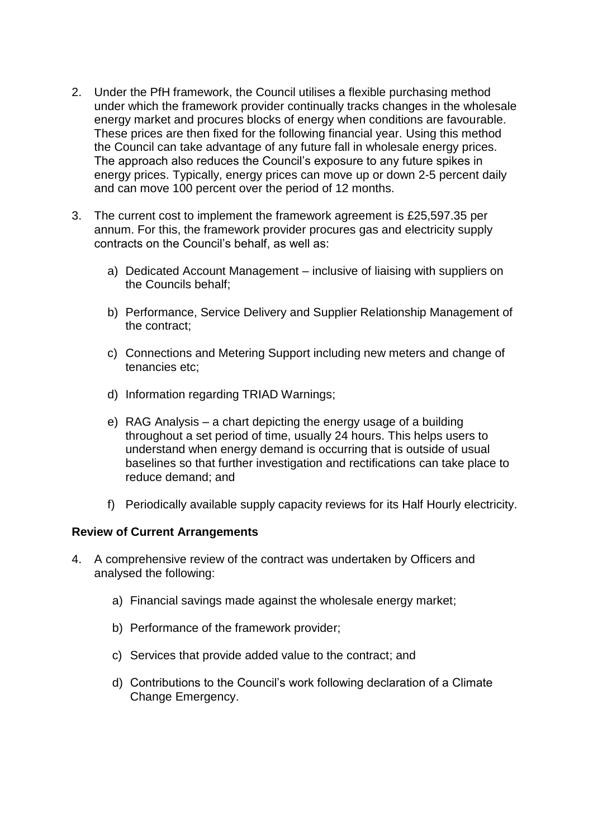- 2. Under the PfH framework, the Council utilises a flexible purchasing method under which the framework provider continually tracks changes in the wholesale energy market and procures blocks of energy when conditions are favourable. These prices are then fixed for the following financial year. Using this method the Council can take advantage of any future fall in wholesale energy prices. The approach also reduces the Council's exposure to any future spikes in energy prices. Typically, energy prices can move up or down 2-5 percent daily and can move 100 percent over the period of 12 months.
- 3. The current cost to implement the framework agreement is £25,597.35 per annum. For this, the framework provider procures gas and electricity supply contracts on the Council's behalf, as well as:
	- a) Dedicated Account Management inclusive of liaising with suppliers on the Councils behalf;
	- b) Performance, Service Delivery and Supplier Relationship Management of the contract;
	- c) Connections and Metering Support including new meters and change of tenancies etc;
	- d) Information regarding TRIAD Warnings;
	- e) RAG Analysis a chart depicting the energy usage of a building throughout a set period of time, usually 24 hours. This helps users to understand when energy demand is occurring that is outside of usual baselines so that further investigation and rectifications can take place to reduce demand; and
	- f) Periodically available supply capacity reviews for its Half Hourly electricity.

### **Review of Current Arrangements**

- 4. A comprehensive review of the contract was undertaken by Officers and analysed the following:
	- a) Financial savings made against the wholesale energy market;
	- b) Performance of the framework provider;
	- c) Services that provide added value to the contract; and
	- d) Contributions to the Council's work following declaration of a Climate Change Emergency.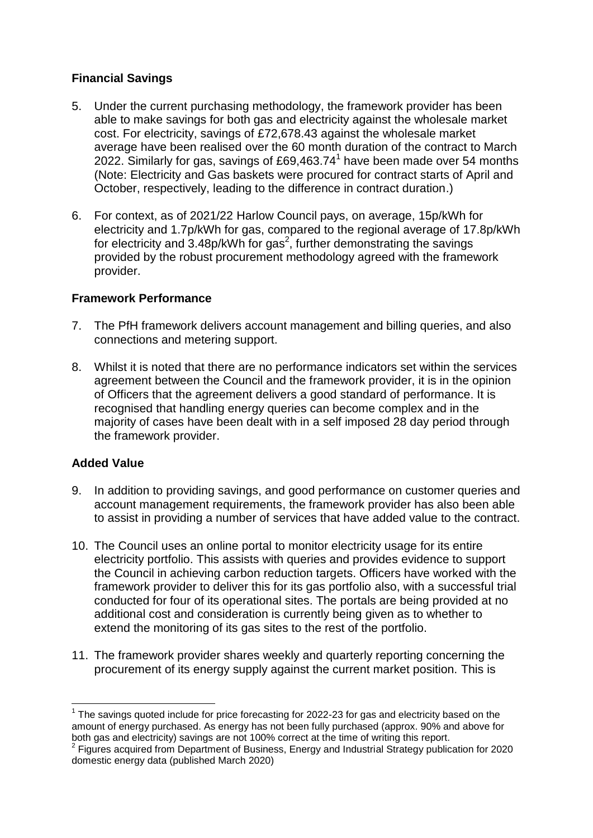# **Financial Savings**

- 5. Under the current purchasing methodology, the framework provider has been able to make savings for both gas and electricity against the wholesale market cost. For electricity, savings of £72,678.43 against the wholesale market average have been realised over the 60 month duration of the contract to March 2022. Similarly for gas, savings of £69,463.74<sup>1</sup> have been made over 54 months (Note: Electricity and Gas baskets were procured for contract starts of April and October, respectively, leading to the difference in contract duration.)
- 6. For context, as of 2021/22 Harlow Council pays, on average, 15p/kWh for electricity and 1.7p/kWh for gas, compared to the regional average of 17.8p/kWh for electricity and 3.48p/kWh for gas<sup>2</sup>, further demonstrating the savings provided by the robust procurement methodology agreed with the framework provider.

# **Framework Performance**

- 7. The PfH framework delivers account management and billing queries, and also connections and metering support.
- 8. Whilst it is noted that there are no performance indicators set within the services agreement between the Council and the framework provider, it is in the opinion of Officers that the agreement delivers a good standard of performance. It is recognised that handling energy queries can become complex and in the majority of cases have been dealt with in a self imposed 28 day period through the framework provider.

# **Added Value**

- 9. In addition to providing savings, and good performance on customer queries and account management requirements, the framework provider has also been able to assist in providing a number of services that have added value to the contract.
- 10. The Council uses an online portal to monitor electricity usage for its entire electricity portfolio. This assists with queries and provides evidence to support the Council in achieving carbon reduction targets. Officers have worked with the framework provider to deliver this for its gas portfolio also, with a successful trial conducted for four of its operational sites. The portals are being provided at no additional cost and consideration is currently being given as to whether to extend the monitoring of its gas sites to the rest of the portfolio.
- 11. The framework provider shares weekly and quarterly reporting concerning the procurement of its energy supply against the current market position. This is

<sup>1</sup>  $1$  The savings quoted include for price forecasting for 2022-23 for gas and electricity based on the amount of energy purchased. As energy has not been fully purchased (approx. 90% and above for both gas and electricity) savings are not 100% correct at the time of writing this report.

 $2$  Figures acquired from Department of Business, Energy and Industrial Strategy publication for 2020 domestic energy data (published March 2020)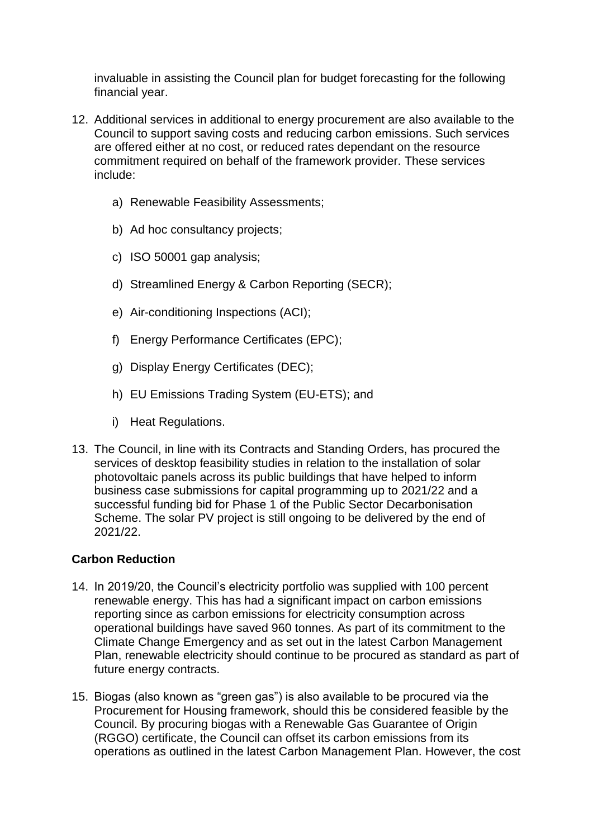invaluable in assisting the Council plan for budget forecasting for the following financial year.

- 12. Additional services in additional to energy procurement are also available to the Council to support saving costs and reducing carbon emissions. Such services are offered either at no cost, or reduced rates dependant on the resource commitment required on behalf of the framework provider. These services include:
	- a) Renewable Feasibility Assessments;
	- b) Ad hoc consultancy projects;
	- c) ISO 50001 gap analysis;
	- d) Streamlined Energy & Carbon Reporting (SECR);
	- e) Air-conditioning Inspections (ACI);
	- f) Energy Performance Certificates (EPC);
	- g) Display Energy Certificates (DEC);
	- h) EU Emissions Trading System (EU-ETS); and
	- i) Heat Regulations.
- 13. The Council, in line with its Contracts and Standing Orders, has procured the services of desktop feasibility studies in relation to the installation of solar photovoltaic panels across its public buildings that have helped to inform business case submissions for capital programming up to 2021/22 and a successful funding bid for Phase 1 of the Public Sector Decarbonisation Scheme. The solar PV project is still ongoing to be delivered by the end of 2021/22.

### **Carbon Reduction**

- 14. In 2019/20, the Council's electricity portfolio was supplied with 100 percent renewable energy. This has had a significant impact on carbon emissions reporting since as carbon emissions for electricity consumption across operational buildings have saved 960 tonnes. As part of its commitment to the Climate Change Emergency and as set out in the latest Carbon Management Plan, renewable electricity should continue to be procured as standard as part of future energy contracts.
- 15. Biogas (also known as "green gas") is also available to be procured via the Procurement for Housing framework, should this be considered feasible by the Council. By procuring biogas with a Renewable Gas Guarantee of Origin (RGGO) certificate, the Council can offset its carbon emissions from its operations as outlined in the latest Carbon Management Plan. However, the cost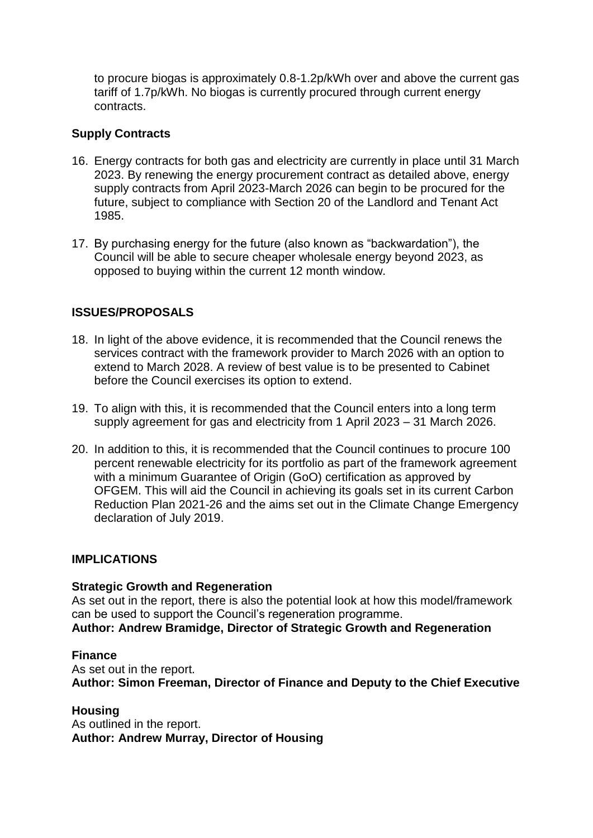to procure biogas is approximately 0.8-1.2p/kWh over and above the current gas tariff of 1.7p/kWh. No biogas is currently procured through current energy contracts.

# **Supply Contracts**

- 16. Energy contracts for both gas and electricity are currently in place until 31 March 2023. By renewing the energy procurement contract as detailed above, energy supply contracts from April 2023-March 2026 can begin to be procured for the future, subject to compliance with Section 20 of the Landlord and Tenant Act 1985.
- 17. By purchasing energy for the future (also known as "backwardation"), the Council will be able to secure cheaper wholesale energy beyond 2023, as opposed to buying within the current 12 month window.

# **ISSUES/PROPOSALS**

- 18. In light of the above evidence, it is recommended that the Council renews the services contract with the framework provider to March 2026 with an option to extend to March 2028. A review of best value is to be presented to Cabinet before the Council exercises its option to extend.
- 19. To align with this, it is recommended that the Council enters into a long term supply agreement for gas and electricity from 1 April 2023 – 31 March 2026.
- 20. In addition to this, it is recommended that the Council continues to procure 100 percent renewable electricity for its portfolio as part of the framework agreement with a minimum Guarantee of Origin (GoO) certification as approved by OFGEM. This will aid the Council in achieving its goals set in its current Carbon Reduction Plan 2021-26 and the aims set out in the Climate Change Emergency declaration of July 2019.

### **IMPLICATIONS**

### **Strategic Growth and Regeneration**

As set out in the report, there is also the potential look at how this model/framework can be used to support the Council's regeneration programme. **Author: Andrew Bramidge, Director of Strategic Growth and Regeneration**

#### **Finance**

As set out in the report. **Author: Simon Freeman, Director of Finance and Deputy to the Chief Executive**

### **Housing**

As outlined in the report. **Author: Andrew Murray, Director of Housing**